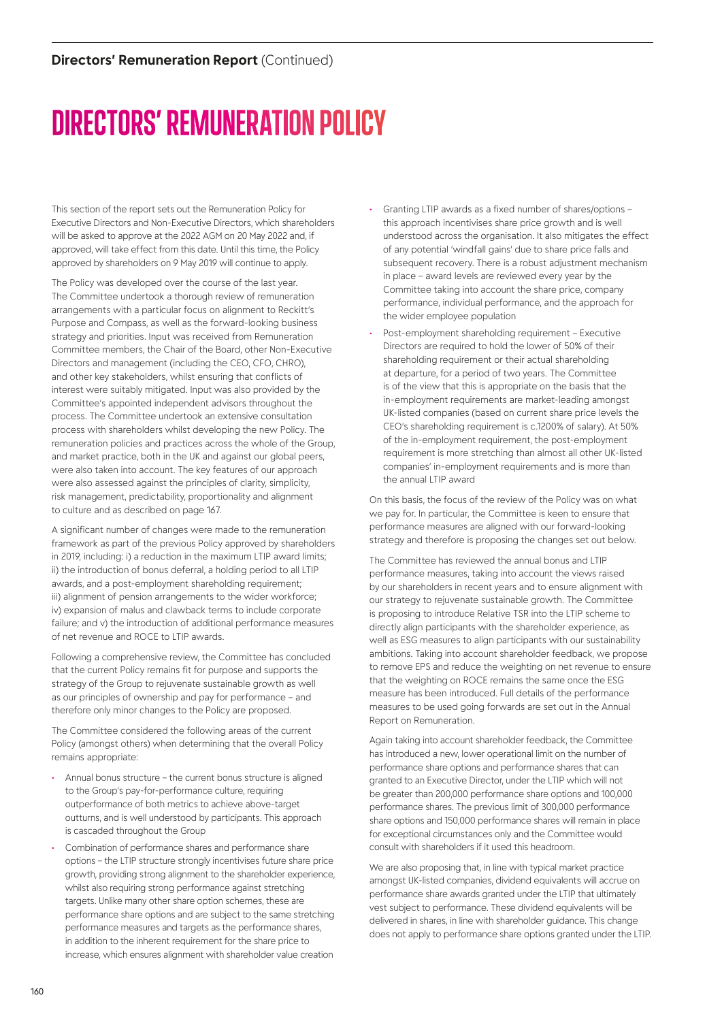# DIRECTORS' REMUNERATION POLICY

This section of the report sets out the Remuneration Policy for Executive Directors and Non-Executive Directors, which shareholders will be asked to approve at the 2022 AGM on 20 May 2022 and, if approved, will take effect from this date. Until this time, the Policy approved by shareholders on 9 May 2019 will continue to apply.

The Policy was developed over the course of the last year. The Committee undertook a thorough review of remuneration arrangements with a particular focus on alignment to Reckitt's Purpose and Compass, as well as the forward-looking business strategy and priorities. Input was received from Remuneration Committee members, the Chair of the Board, other Non-Executive Directors and management (including the CEO, CFO, CHRO), and other key stakeholders, whilst ensuring that conflicts of interest were suitably mitigated. Input was also provided by the Committee's appointed independent advisors throughout the process. The Committee undertook an extensive consultation process with shareholders whilst developing the new Policy. The remuneration policies and practices across the whole of the Group, and market practice, both in the UK and against our global peers, were also taken into account. The key features of our approach were also assessed against the principles of clarity, simplicity, risk management, predictability, proportionality and alignment to culture and as described on page 167.

A significant number of changes were made to the remuneration framework as part of the previous Policy approved by shareholders in 2019, including: i) a reduction in the maximum LTIP award limits; ii) the introduction of bonus deferral, a holding period to all LTIP awards, and a post-employment shareholding requirement; iii) alignment of pension arrangements to the wider workforce; iv) expansion of malus and clawback terms to include corporate failure; and y) the introduction of additional performance measures of net revenue and ROCE to LTIP awards.

Following a comprehensive review, the Committee has concluded that the current Policy remains fit for purpose and supports the strategy of the Group to rejuvenate sustainable growth as well as our principles of ownership and pay for performance – and therefore only minor changes to the Policy are proposed.

The Committee considered the following areas of the current Policy (amongst others) when determining that the overall Policy remains appropriate:

- Annual bonus structure the current bonus structure is aligned to the Group's pay-for-performance culture, requiring outperformance of both metrics to achieve above-target outturns, and is well understood by participants. This approach is cascaded throughout the Group
- Combination of performance shares and performance share options – the LTIP structure strongly incentivises future share price growth, providing strong alignment to the shareholder experience, whilst also requiring strong performance against stretching targets. Unlike many other share option schemes, these are performance share options and are subject to the same stretching performance measures and targets as the performance shares, in addition to the inherent requirement for the share price to increase, which ensures alignment with shareholder value creation
- Granting LTIP awards as a fixed number of shares/options this approach incentivises share price growth and is well understood across the organisation. It also mitigates the effect of any potential 'windfall gains' due to share price falls and subsequent recovery. There is a robust adjustment mechanism in place – award levels are reviewed every year by the Committee taking into account the share price, company performance, individual performance, and the approach for the wider employee population
- Post-employment shareholding requirement Executive Directors are required to hold the lower of 50% of their shareholding requirement or their actual shareholding at departure, for a period of two years. The Committee is of the view that this is appropriate on the basis that the in-employment requirements are market-leading amongst UK-listed companies (based on current share price levels the CEO's shareholding requirement is c.1200% of salary). At 50% of the in-employment requirement, the post-employment requirement is more stretching than almost all other UK-listed companies' in-employment requirements and is more than the annual LTIP award

On this basis, the focus of the review of the Policy was on what we pay for. In particular, the Committee is keen to ensure that performance measures are aligned with our forward-looking strategy and therefore is proposing the changes set out below.

The Committee has reviewed the annual bonus and LTIP performance measures, taking into account the views raised by our shareholders in recent years and to ensure alignment with our strategy to rejuvenate sustainable growth. The Committee is proposing to introduce Relative TSR into the LTIP scheme to directly align participants with the shareholder experience, as well as ESG measures to align participants with our sustainability ambitions. Taking into account shareholder feedback, we propose to remove EPS and reduce the weighting on net revenue to ensure that the weighting on ROCE remains the same once the ESG measure has been introduced. Full details of the performance measures to be used going forwards are set out in the Annual Report on Remuneration.

Again taking into account shareholder feedback, the Committee has introduced a new, lower operational limit on the number of performance share options and performance shares that can granted to an Executive Director, under the LTIP which will not be greater than 200,000 performance share options and 100,000 performance shares. The previous limit of 300,000 performance share options and 150,000 performance shares will remain in place for exceptional circumstances only and the Committee would consult with shareholders if it used this headroom.

We are also proposing that, in line with typical market practice amongst UK-listed companies, dividend equivalents will accrue on performance share awards granted under the LTIP that ultimately vest subject to performance. These dividend equivalents will be delivered in shares, in line with shareholder guidance. This change does not apply to performance share options granted under the LTIP.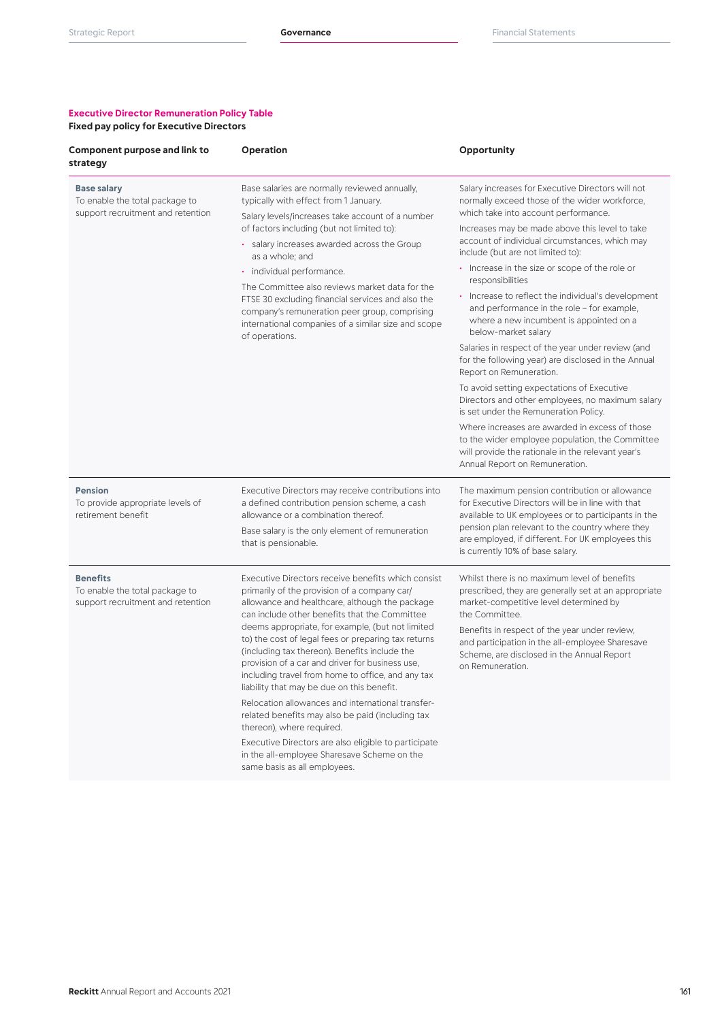# **Executive Director Remuneration Policy Table**

| Component purpose and link to<br>strategy                                                 | Operation                                                                                                                                                                                                                                                                                                                                                                                                                                                                                                                                                                                                                                                                                                                                                            | Opportunity                                                                                                                                                                                                                                                                                                                                                                                                                                                                |
|-------------------------------------------------------------------------------------------|----------------------------------------------------------------------------------------------------------------------------------------------------------------------------------------------------------------------------------------------------------------------------------------------------------------------------------------------------------------------------------------------------------------------------------------------------------------------------------------------------------------------------------------------------------------------------------------------------------------------------------------------------------------------------------------------------------------------------------------------------------------------|----------------------------------------------------------------------------------------------------------------------------------------------------------------------------------------------------------------------------------------------------------------------------------------------------------------------------------------------------------------------------------------------------------------------------------------------------------------------------|
| <b>Base salary</b><br>To enable the total package to<br>support recruitment and retention | Base salaries are normally reviewed annually,<br>typically with effect from 1 January.<br>Salary levels/increases take account of a number<br>of factors including (but not limited to):<br>· salary increases awarded across the Group<br>as a whole; and                                                                                                                                                                                                                                                                                                                                                                                                                                                                                                           | Salary increases for Executive Directors will not<br>normally exceed those of the wider workforce,<br>which take into account performance.<br>Increases may be made above this level to take<br>account of individual circumstances, which may<br>include (but are not limited to):                                                                                                                                                                                        |
|                                                                                           | · individual performance.<br>The Committee also reviews market data for the<br>FTSE 30 excluding financial services and also the<br>company's remuneration peer group, comprising<br>international companies of a similar size and scope<br>of operations.                                                                                                                                                                                                                                                                                                                                                                                                                                                                                                           | • Increase in the size or scope of the role or<br>responsibilities<br>• Increase to reflect the individual's development<br>and performance in the role - for example,<br>where a new incumbent is appointed on a<br>below-market salary                                                                                                                                                                                                                                   |
|                                                                                           |                                                                                                                                                                                                                                                                                                                                                                                                                                                                                                                                                                                                                                                                                                                                                                      | Salaries in respect of the year under review (and<br>for the following year) are disclosed in the Annual<br>Report on Remuneration.<br>To avoid setting expectations of Executive<br>Directors and other employees, no maximum salary<br>is set under the Remuneration Policy.<br>Where increases are awarded in excess of those<br>to the wider employee population, the Committee<br>will provide the rationale in the relevant year's<br>Annual Report on Remuneration. |
| <b>Pension</b><br>To provide appropriate levels of<br>retirement benefit                  | Executive Directors may receive contributions into<br>a defined contribution pension scheme, a cash<br>allowance or a combination thereof.<br>Base salary is the only element of remuneration<br>that is pensionable.                                                                                                                                                                                                                                                                                                                                                                                                                                                                                                                                                | The maximum pension contribution or allowance<br>for Executive Directors will be in line with that<br>available to UK employees or to participants in the<br>pension plan relevant to the country where they<br>are employed, if different. For UK employees this<br>is currently 10% of base salary.                                                                                                                                                                      |
| <b>Benefits</b><br>To enable the total package to<br>support recruitment and retention    | Executive Directors receive benefits which consist<br>primarily of the provision of a company car/<br>allowance and healthcare, although the package<br>can include other benefits that the Committee<br>deems appropriate, for example, (but not limited<br>to) the cost of legal fees or preparing tax returns<br>(including tax thereon). Benefits include the<br>provision of a car and driver for business use,<br>including travel from home to office, and any tax<br>liability that may be due on this benefit.<br>Relocation allowances and international transfer-<br>related benefits may also be paid (including tax<br>thereon), where required.<br>Executive Directors are also eligible to participate<br>in the all-employee Sharesave Scheme on the | Whilst there is no maximum level of benefits<br>prescribed, they are generally set at an appropriate<br>market-competitive level determined by<br>the Committee.<br>Benefits in respect of the year under review,<br>and participation in the all-employee Sharesave<br>Scheme, are disclosed in the Annual Report<br>on Remuneration.                                                                                                                                     |

same basis as all employees.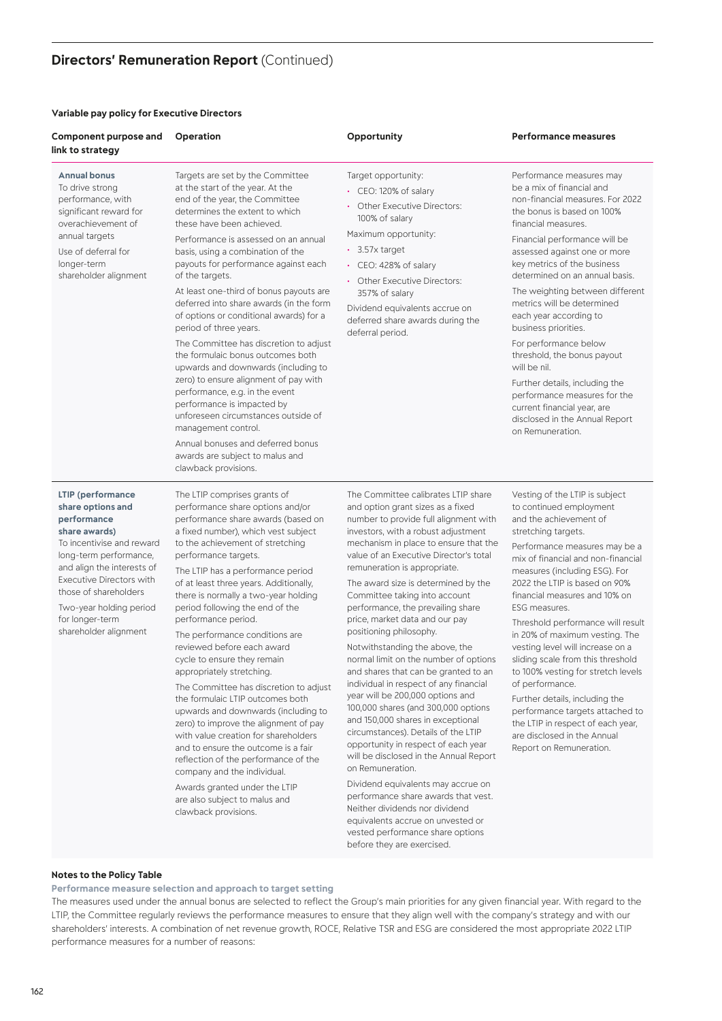# **Directors' Remuneration Report (Continued)**

# **Variable pay policy for Executive Directors**

| Component purpose and<br>link to strategy                                                                                                                                                                                                                                                      | Operation                                                                                                                                                                                                                                                                                                                                                                                                                                                                                                                                                                                                                                                                                                                                                                                                                                                                                                                            | Opportunity                                                                                                                                                                                                                                                                                                                                                                                                                                                                                                                                                                                                                                                                                                                                                                                                                                                                                                                                                                                                                        | <b>Performance measures</b>                                                                                                                                                                                                                                                                                                                                                                                                                                                                                                                                                                                                                                                        |
|------------------------------------------------------------------------------------------------------------------------------------------------------------------------------------------------------------------------------------------------------------------------------------------------|--------------------------------------------------------------------------------------------------------------------------------------------------------------------------------------------------------------------------------------------------------------------------------------------------------------------------------------------------------------------------------------------------------------------------------------------------------------------------------------------------------------------------------------------------------------------------------------------------------------------------------------------------------------------------------------------------------------------------------------------------------------------------------------------------------------------------------------------------------------------------------------------------------------------------------------|------------------------------------------------------------------------------------------------------------------------------------------------------------------------------------------------------------------------------------------------------------------------------------------------------------------------------------------------------------------------------------------------------------------------------------------------------------------------------------------------------------------------------------------------------------------------------------------------------------------------------------------------------------------------------------------------------------------------------------------------------------------------------------------------------------------------------------------------------------------------------------------------------------------------------------------------------------------------------------------------------------------------------------|------------------------------------------------------------------------------------------------------------------------------------------------------------------------------------------------------------------------------------------------------------------------------------------------------------------------------------------------------------------------------------------------------------------------------------------------------------------------------------------------------------------------------------------------------------------------------------------------------------------------------------------------------------------------------------|
| <b>Annual bonus</b><br>To drive strong<br>performance, with<br>significant reward for<br>overachievement of<br>annual targets<br>Use of deferral for<br>longer-term<br>shareholder alignment                                                                                                   | Targets are set by the Committee<br>at the start of the year. At the<br>end of the year, the Committee<br>determines the extent to which<br>these have been achieved.<br>Performance is assessed on an annual<br>basis, using a combination of the<br>payouts for performance against each<br>of the targets.<br>At least one-third of bonus payouts are<br>deferred into share awards (in the form<br>of options or conditional awards) for a<br>period of three years.<br>The Committee has discretion to adjust<br>the formulaic bonus outcomes both<br>upwards and downwards (including to<br>zero) to ensure alignment of pay with<br>performance, e.g. in the event<br>performance is impacted by<br>unforeseen circumstances outside of<br>management control.<br>Annual bonuses and deferred bonus<br>awards are subject to malus and<br>clawback provisions.                                                                | Target opportunity:<br>• CEO: 120% of salary<br>• Other Executive Directors:<br>100% of salary<br>Maximum opportunity:<br>$\cdot$ 3.57x target<br>• CEO: 428% of salary<br>• Other Executive Directors:<br>357% of salary<br>Dividend equivalents accrue on<br>deferred share awards during the<br>deferral period.                                                                                                                                                                                                                                                                                                                                                                                                                                                                                                                                                                                                                                                                                                                | Performance measures may<br>be a mix of financial and<br>non-financial measures. For 2022<br>the bonus is based on 100%<br>financial measures.<br>Financial performance will be<br>assessed against one or more<br>key metrics of the business<br>determined on an annual basis.<br>The weighting between different<br>metrics will be determined<br>each year according to<br>business priorities.<br>For performance below<br>threshold, the bonus payout<br>will be nil.<br>Further details, including the<br>performance measures for the<br>current financial year, are<br>disclosed in the Annual Report<br>on Remuneration.                                                 |
| LTIP (performance<br>share options and<br>performance<br>share awards)<br>To incentivise and reward<br>long-term performance,<br>and align the interests of<br><b>Executive Directors with</b><br>those of shareholders<br>Two-year holding period<br>for longer-term<br>shareholder alignment | The LTIP comprises grants of<br>performance share options and/or<br>performance share awards (based on<br>a fixed number), which vest subject<br>to the achievement of stretching<br>performance targets.<br>The LTIP has a performance period<br>of at least three years. Additionally,<br>there is normally a two-year holding<br>period following the end of the<br>performance period.<br>The performance conditions are<br>reviewed before each award<br>cycle to ensure they remain<br>appropriately stretching.<br>The Committee has discretion to adjust<br>the formulaic LTIP outcomes both<br>upwards and downwards (including to<br>zero) to improve the alignment of pay<br>with value creation for shareholders<br>and to ensure the outcome is a fair<br>reflection of the performance of the<br>company and the individual.<br>Awards granted under the LTIP<br>are also subject to malus and<br>clawback provisions. | The Committee calibrates LTIP share<br>and option grant sizes as a fixed<br>number to provide full alignment with<br>investors, with a robust adjustment<br>mechanism in place to ensure that the<br>value of an Executive Director's total<br>remuneration is appropriate.<br>The award size is determined by the<br>Committee taking into account<br>performance, the prevailing share<br>price, market data and our pay<br>positioning philosophy.<br>Notwithstanding the above, the<br>normal limit on the number of options<br>and shares that can be granted to an<br>individual in respect of any financial<br>year will be 200,000 options and<br>100,000 shares (and 300,000 options<br>and 150,000 shares in exceptional<br>circumstances). Details of the LTIP<br>opportunity in respect of each year<br>will be disclosed in the Annual Report<br>on Remuneration.<br>Dividend equivalents may accrue on<br>performance share awards that vest.<br>Neither dividends nor dividend<br>equivalents accrue on unvested or | Vesting of the LTIP is subject<br>to continued employment<br>and the achievement of<br>stretching targets.<br>Performance measures may be a<br>mix of financial and non-financial<br>measures (including ESG). For<br>2022 the LTIP is based on 90%<br>financial measures and 10% on<br>ESG measures.<br>Threshold performance will result<br>in 20% of maximum vesting. The<br>vesting level will increase on a<br>sliding scale from this threshold<br>to 100% vesting for stretch levels<br>of performance.<br>Further details, including the<br>performance targets attached to<br>the LTIP in respect of each year,<br>are disclosed in the Annual<br>Report on Remuneration. |

# **Notes to the Policy Table**

**Performance measure selection and approach to target setting**

The measures used under the annual bonus are selected to reflect the Group's main priorities for any given financial year. With regard to the LTIP, the Committee regularly reviews the performance measures to ensure that they align well with the company's strategy and with our shareholders' interests. A combination of net revenue growth, ROCE, Relative TSR and ESG are considered the most appropriate 2022 LTIP performance measures for a number of reasons:

vested performance share options before they are exercised.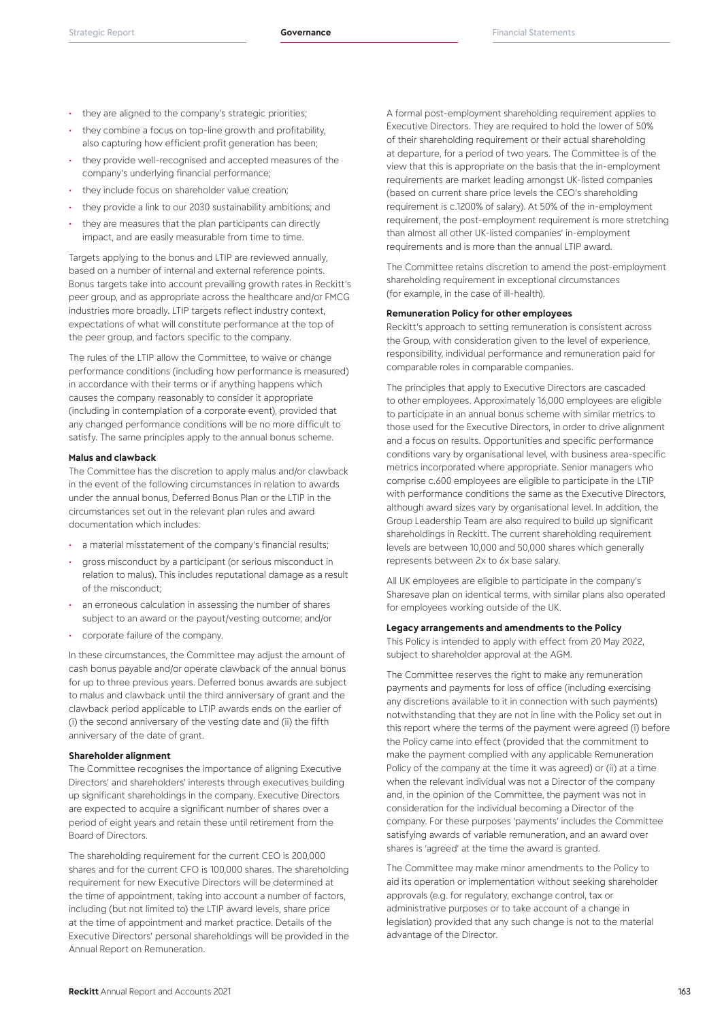- they are aligned to the company's strategic priorities;
- they combine a focus on top-line growth and profitability, also capturing how efficient profit generation has been;
- they provide well-recognised and accepted measures of the company's underlying financial performance;
- they include focus on shareholder value creation;
- they provide a link to our 2030 sustainability ambitions; and
- they are measures that the plan participants can directly impact, and are easily measurable from time to time.

Targets applying to the bonus and LTIP are reviewed annually, based on a number of internal and external reference points. Bonus targets take into account prevailing growth rates in Reckitt's peer group, and as appropriate across the healthcare and/or FMCG industries more broadly. LTIP targets reflect industry context, expectations of what will constitute performance at the top of the peer group, and factors specific to the company.

The rules of the LTIP allow the Committee, to waive or change performance conditions (including how performance is measured) in accordance with their terms or if anything happens which causes the company reasonably to consider it appropriate (including in contemplation of a corporate event), provided that any changed performance conditions will be no more difficult to satisfy. The same principles apply to the annual bonus scheme.

#### **Malus and clawback**

The Committee has the discretion to apply malus and/or clawback in the event of the following circumstances in relation to awards under the annual bonus, Deferred Bonus Plan or the LTIP in the circumstances set out in the relevant plan rules and award documentation which includes:

- a material misstatement of the company's financial results;
- gross misconduct by a participant (or serious misconduct in relation to malus). This includes reputational damage as a result of the misconduct;
- an erroneous calculation in assessing the number of shares subject to an award or the payout/vesting outcome; and/or
- corporate failure of the company.

In these circumstances, the Committee may adjust the amount of cash bonus payable and/or operate clawback of the annual bonus for up to three previous years. Deferred bonus awards are subject to malus and clawback until the third anniversary of grant and the clawback period applicable to LTIP awards ends on the earlier of (i) the second anniversary of the vesting date and (ii) the fifth anniversary of the date of grant.

### **Shareholder alignment**

The Committee recognises the importance of aligning Executive Directors' and shareholders' interests through executives building up significant shareholdings in the company. Executive Directors are expected to acquire a significant number of shares over a period of eight years and retain these until retirement from the Board of Directors.

The shareholding requirement for the current CEO is 200,000 shares and for the current CFO is 100,000 shares. The shareholding requirement for new Executive Directors will be determined at the time of appointment, taking into account a number of factors, including (but not limited to) the LTIP award levels, share price at the time of appointment and market practice. Details of the Executive Directors' personal shareholdings will be provided in the Annual Report on Remuneration.

A formal post-employment shareholding requirement applies to Executive Directors. They are required to hold the lower of 50% of their shareholding requirement or their actual shareholding at departure, for a period of two years. The Committee is of the view that this is appropriate on the basis that the in-employment requirements are market leading amongst UK-listed companies (based on current share price levels the CEO's shareholding requirement is c.1200% of salary). At 50% of the in-employment requirement, the post-employment requirement is more stretching than almost all other UK-listed companies' in-employment requirements and is more than the annual LTIP award.

The Committee retains discretion to amend the post-employment shareholding requirement in exceptional circumstances (for example, in the case of ill-health).

# **Remuneration Policy for other employees**

Reckitt's approach to setting remuneration is consistent across the Group, with consideration given to the level of experience, responsibility, individual performance and remuneration paid for comparable roles in comparable companies.

The principles that apply to Executive Directors are cascaded to other employees. Approximately 16,000 employees are eligible to participate in an annual bonus scheme with similar metrics to those used for the Executive Directors, in order to drive alignment and a focus on results. Opportunities and specific performance conditions vary by organisational level, with business area-specific metrics incorporated where appropriate. Senior managers who comprise c.600 employees are eligible to participate in the LTIP with performance conditions the same as the Executive Directors, although award sizes vary by organisational level. In addition, the Group Leadership Team are also required to build up significant shareholdings in Reckitt. The current shareholding requirement levels are between 10,000 and 50,000 shares which generally represents between 2x to 6x base salary.

All UK employees are eligible to participate in the company's Sharesave plan on identical terms, with similar plans also operated for employees working outside of the UK.

# **Legacy arrangements and amendments to the Policy**

This Policy is intended to apply with effect from 20 May 2022, subject to shareholder approval at the AGM.

The Committee reserves the right to make any remuneration payments and payments for loss of office (including exercising any discretions available to it in connection with such payments) notwithstanding that they are not in line with the Policy set out in this report where the terms of the payment were agreed (i) before the Policy came into effect (provided that the commitment to make the payment complied with any applicable Remuneration Policy of the company at the time it was agreed) or (ii) at a time when the relevant individual was not a Director of the company and, in the opinion of the Committee, the payment was not in consideration for the individual becoming a Director of the company. For these purposes 'payments' includes the Committee satisfying awards of variable remuneration, and an award over shares is 'agreed' at the time the award is granted.

The Committee may make minor amendments to the Policy to aid its operation or implementation without seeking shareholder approvals (e.g. for regulatory, exchange control, tax or administrative purposes or to take account of a change in legislation) provided that any such change is not to the material advantage of the Director.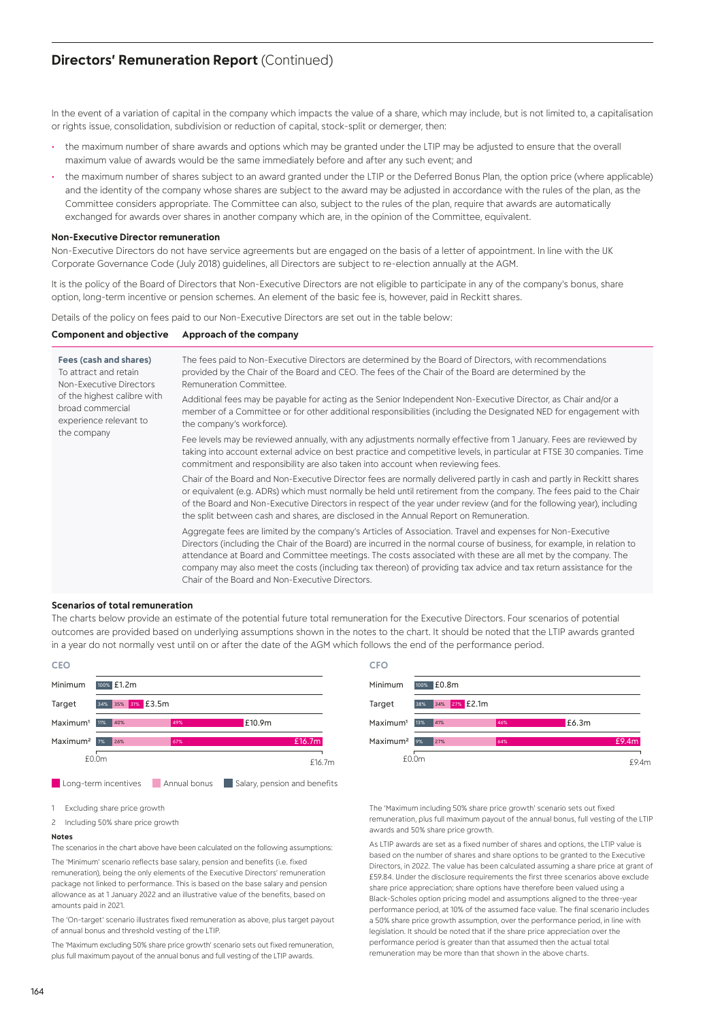# **Directors' Remuneration Report (Continued)**

In the event of a variation of capital in the company which impacts the value of a share, which may include, but is not limited to, a capitalisation or rights issue, consolidation, subdivision or reduction of capital, stock-split or demerger, then:

- the maximum number of share awards and options which may be granted under the LTIP may be adjusted to ensure that the overall maximum value of awards would be the same immediately before and after any such event; and
- the maximum number of shares subject to an award granted under the LTIP or the Deferred Bonus Plan, the option price (where applicable) and the identity of the company whose shares are subject to the award may be adjusted in accordance with the rules of the plan, as the Committee considers appropriate. The Committee can also, subject to the rules of the plan, require that awards are automatically exchanged for awards over shares in another company which are, in the opinion of the Committee, equivalent.

#### **Non-Executive Director remuneration**

Non-Executive Directors do not have service agreements but are engaged on the basis of a letter of appointment. In line with the UK Corporate Governance Code (July 2018) guidelines, all Directors are subject to re-election annually at the AGM.

It is the policy of the Board of Directors that Non-Executive Directors are not eligible to participate in any of the company's bonus, share option, long-term incentive or pension schemes. An element of the basic fee is, however, paid in Reckitt shares.

Details of the policy on fees paid to our Non-Executive Directors are set out in the table below:

#### **Component and objective Approach of the company**

| Fees (cash and shares)<br>To attract and retain<br>Non-Executive Directors<br>of the highest calibre with<br>broad commercial<br>experience relevant to<br>the company | The fees paid to Non-Executive Directors are determined by the Board of Directors, with recommendations<br>provided by the Chair of the Board and CEO. The fees of the Chair of the Board are determined by the<br>Remuneration Committee.                                                                                                                                                                                                                                                                                   |
|------------------------------------------------------------------------------------------------------------------------------------------------------------------------|------------------------------------------------------------------------------------------------------------------------------------------------------------------------------------------------------------------------------------------------------------------------------------------------------------------------------------------------------------------------------------------------------------------------------------------------------------------------------------------------------------------------------|
|                                                                                                                                                                        | Additional fees may be payable for acting as the Senior Independent Non-Executive Director, as Chair and/or a<br>member of a Committee or for other additional responsibilities (including the Designated NED for engagement with<br>the company's workforce).                                                                                                                                                                                                                                                               |
|                                                                                                                                                                        | Fee levels may be reviewed annually, with any adjustments normally effective from 1 January. Fees are reviewed by<br>taking into account external advice on best practice and competitive levels, in particular at FTSE 30 companies. Time<br>commitment and responsibility are also taken into account when reviewing fees.                                                                                                                                                                                                 |
|                                                                                                                                                                        | Chair of the Board and Non-Executive Director fees are normally delivered partly in cash and partly in Reckitt shares<br>or equivalent (e.g. ADRs) which must normally be held until retirement from the company. The fees paid to the Chair<br>of the Board and Non-Executive Directors in respect of the year under review (and for the following year), including<br>the split between cash and shares, are disclosed in the Annual Report on Remuneration.                                                               |
|                                                                                                                                                                        | Aggregate fees are limited by the company's Articles of Association. Travel and expenses for Non-Executive<br>Directors (including the Chair of the Board) are incurred in the normal course of business, for example, in relation to<br>attendance at Board and Committee meetings. The costs associated with these are all met by the company. The<br>company may also meet the costs (including tax thereon) of providing tax advice and tax return assistance for the<br>Chair of the Board and Non-Executive Directors. |

#### **Scenarios of total remuneration**

The charts below provide an estimate of the potential future total remuneration for the Executive Directors. Four scenarios of potential outcomes are provided based on underlying assumptions shown in the notes to the chart. It should be noted that the LTIP awards granted in a year do not normally vest until on or after the date of the AGM which follows the end of the performance period.



- 1 Excluding share price growth
- 2 Including 50% share price growth

#### **Notes**

The scenarios in the chart above have been calculated on the following assumptions:

The 'Minimum' scenario reflects base salary, pension and benefits (i.e. fixed remuneration), being the only elements of the Executive Directors' remuneration package not linked to performance. This is based on the base salary and pension allowance as at 1 January 2022 and an illustrative value of the benefits, based on amounts paid in 2021.

The 'On-target' scenario illustrates fixed remuneration as above, plus target payout of annual bonus and threshold vesting of the LTIP.

The 'Maximum excluding 50% share price growth' scenario sets out fixed remuneration, plus full maximum payout of the annual bonus and full vesting of the LTIP awards.



The 'Maximum including 50% share price growth' scenario sets out fixed remuneration, plus full maximum payout of the annual bonus, full vesting of the LTIP awards and 50% share price growth.

As LTIP awards are set as a fixed number of shares and options, the LTIP value is based on the number of shares and share options to be granted to the Executive Directors, in 2022. The value has been calculated assuming a share price at grant of £59.84. Under the disclosure requirements the first three scenarios above exclude share price appreciation; share options have therefore been valued using a Black-Scholes option pricing model and assumptions aligned to the three-year performance period, at 10% of the assumed face value. The final scenario includes a 50% share price growth assumption, over the performance period, in line with legislation. It should be noted that if the share price appreciation over the performance period is greater than that assumed then the actual total remuneration may be more than that shown in the above charts.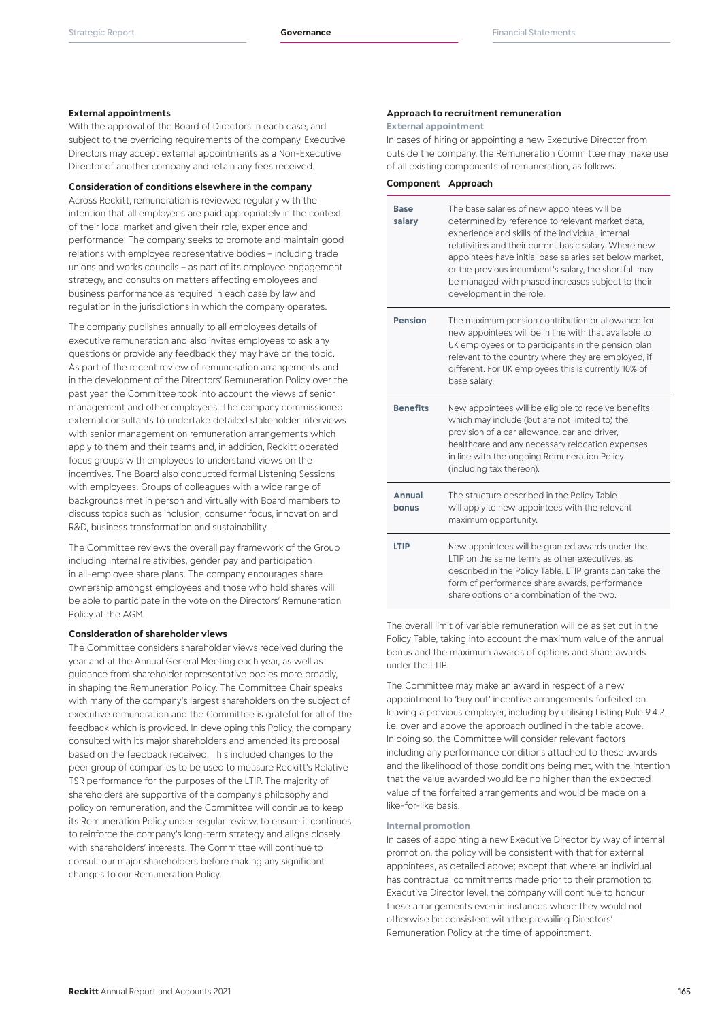# **External appointments**

With the approval of the Board of Directors in each case, and subject to the overriding requirements of the company, Executive Directors may accept external appointments as a Non-Executive Director of another company and retain any fees received.

#### **Consideration of conditions elsewhere in the company**

Across Reckitt, remuneration is reviewed regularly with the intention that all employees are paid appropriately in the context of their local market and given their role, experience and performance. The company seeks to promote and maintain good relations with employee representative bodies – including trade unions and works councils – as part of its employee engagement strategy, and consults on matters affecting employees and business performance as required in each case by law and regulation in the jurisdictions in which the company operates.

The company publishes annually to all employees details of executive remuneration and also invites employees to ask any questions or provide any feedback they may have on the topic. As part of the recent review of remuneration arrangements and in the development of the Directors' Remuneration Policy over the past year, the Committee took into account the views of senior management and other employees. The company commissioned external consultants to undertake detailed stakeholder interviews with senior management on remuneration arrangements which apply to them and their teams and, in addition, Reckitt operated focus groups with employees to understand views on the incentives. The Board also conducted formal Listening Sessions with employees. Groups of colleagues with a wide range of backgrounds met in person and virtually with Board members to discuss topics such as inclusion, consumer focus, innovation and R&D, business transformation and sustainability.

The Committee reviews the overall pay framework of the Group including internal relativities, gender pay and participation in all-employee share plans. The company encourages share ownership amongst employees and those who hold shares will be able to participate in the vote on the Directors' Remuneration Policy at the AGM.

### **Consideration of shareholder views**

The Committee considers shareholder views received during the year and at the Annual General Meeting each year, as well as guidance from shareholder representative bodies more broadly, in shaping the Remuneration Policy. The Committee Chair speaks with many of the company's largest shareholders on the subject of executive remuneration and the Committee is grateful for all of the feedback which is provided. In developing this Policy, the company consulted with its major shareholders and amended its proposal based on the feedback received. This included changes to the peer group of companies to be used to measure Reckitt's Relative TSR performance for the purposes of the LTIP. The majority of shareholders are supportive of the company's philosophy and policy on remuneration, and the Committee will continue to keep its Remuneration Policy under regular review, to ensure it continues to reinforce the company's long-term strategy and aligns closely with shareholders' interests. The Committee will continue to consult our major shareholders before making any significant changes to our Remuneration Policy.

# **Approach to recruitment remuneration**

**External appointment**

In cases of hiring or appointing a new Executive Director from outside the company, the Remuneration Committee may make use of all existing components of remuneration, as follows:

| Component Approach |  |
|--------------------|--|
|--------------------|--|

| <b>Base</b><br>salary | The base salaries of new appointees will be<br>determined by reference to relevant market data,<br>experience and skills of the individual, internal<br>relativities and their current basic salary. Where new<br>appointees have initial base salaries set below market,<br>or the previous incumbent's salary, the shortfall may<br>be managed with phased increases subject to their<br>development in the role. |
|-----------------------|---------------------------------------------------------------------------------------------------------------------------------------------------------------------------------------------------------------------------------------------------------------------------------------------------------------------------------------------------------------------------------------------------------------------|
| <b>Pension</b>        | The maximum pension contribution or allowance for<br>new appointees will be in line with that available to<br>UK employees or to participants in the pension plan<br>relevant to the country where they are employed, if<br>different. For UK employees this is currently 10% of<br>base salary.                                                                                                                    |
| <b>Benefits</b>       | New appointees will be eligible to receive benefits<br>which may include (but are not limited to) the<br>provision of a car allowance, car and driver,<br>healthcare and any necessary relocation expenses<br>in line with the ongoing Remuneration Policy<br>(including tax thereon).                                                                                                                              |
| Annual<br>bonus       | The structure described in the Policy Table<br>will apply to new appointees with the relevant<br>maximum opportunity.                                                                                                                                                                                                                                                                                               |
| <b>LTIP</b>           | New appointees will be granted awards under the<br>LTIP on the same terms as other executives, as<br>described in the Policy Table. LTIP grants can take the<br>form of performance share awards, performance<br>share options or a combination of the two.                                                                                                                                                         |

The overall limit of variable remuneration will be as set out in the Policy Table, taking into account the maximum value of the annual bonus and the maximum awards of options and share awards under the LTIP.

The Committee may make an award in respect of a new appointment to 'buy out' incentive arrangements forfeited on leaving a previous employer, including by utilising Listing Rule 9.4.2, i.e. over and above the approach outlined in the table above. In doing so, the Committee will consider relevant factors including any performance conditions attached to these awards and the likelihood of those conditions being met, with the intention that the value awarded would be no higher than the expected value of the forfeited arrangements and would be made on a like-for-like basis.

#### **Internal promotion**

In cases of appointing a new Executive Director by way of internal promotion, the policy will be consistent with that for external appointees, as detailed above; except that where an individual has contractual commitments made prior to their promotion to Executive Director level, the company will continue to honour these arrangements even in instances where they would not otherwise be consistent with the prevailing Directors' Remuneration Policy at the time of appointment.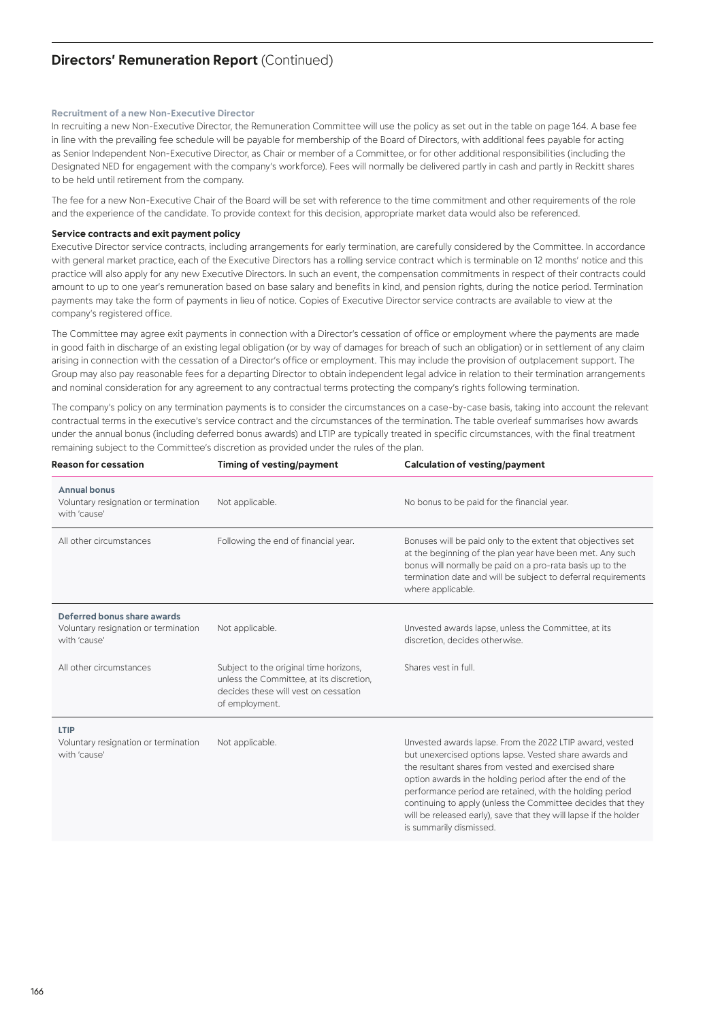# **Directors' Remuneration Report (Continued)**

# **Recruitment of a new Non-Executive Director**

In recruiting a new Non-Executive Director, the Remuneration Committee will use the policy as set out in the table on page 164. A base fee in line with the prevailing fee schedule will be payable for membership of the Board of Directors, with additional fees payable for acting as Senior Independent Non-Executive Director, as Chair or member of a Committee, or for other additional responsibilities (including the Designated NED for engagement with the company's workforce). Fees will normally be delivered partly in cash and partly in Reckitt shares to be held until retirement from the company.

The fee for a new Non-Executive Chair of the Board will be set with reference to the time commitment and other requirements of the role and the experience of the candidate. To provide context for this decision, appropriate market data would also be referenced.

#### **Service contracts and exit payment policy**

Executive Director service contracts, including arrangements for early termination, are carefully considered by the Committee. In accordance with general market practice, each of the Executive Directors has a rolling service contract which is terminable on 12 months' notice and this practice will also apply for any new Executive Directors. In such an event, the compensation commitments in respect of their contracts could amount to up to one year's remuneration based on base salary and benefits in kind, and pension rights, during the notice period. Termination payments may take the form of payments in lieu of notice. Copies of Executive Director service contracts are available to view at the company's registered office.

The Committee may agree exit payments in connection with a Director's cessation of office or employment where the payments are made in good faith in discharge of an existing legal obligation (or by way of damages for breach of such an obligation) or in settlement of any claim arising in connection with the cessation of a Director's office or employment. This may include the provision of outplacement support. The Group may also pay reasonable fees for a departing Director to obtain independent legal advice in relation to their termination arrangements and nominal consideration for any agreement to any contractual terms protecting the company's rights following termination.

The company's policy on any termination payments is to consider the circumstances on a case-by-case basis, taking into account the relevant contractual terms in the executive's service contract and the circumstances of the termination. The table overleaf summarises how awards under the annual bonus (including deferred bonus awards) and LTIP are typically treated in specific circumstances, with the final treatment remaining subject to the Committee's discretion as provided under the rules of the plan.

| <b>Reason for cessation</b>                                                         | Timing of vesting/payment                                                                                                                    | Calculation of vesting/payment                                                                                                                                                                                                                                                                                                                                                                                                                                  |
|-------------------------------------------------------------------------------------|----------------------------------------------------------------------------------------------------------------------------------------------|-----------------------------------------------------------------------------------------------------------------------------------------------------------------------------------------------------------------------------------------------------------------------------------------------------------------------------------------------------------------------------------------------------------------------------------------------------------------|
| <b>Annual bonus</b><br>Voluntary resignation or termination<br>with 'cause'         | Not applicable.                                                                                                                              | No bonus to be paid for the financial year.                                                                                                                                                                                                                                                                                                                                                                                                                     |
| All other circumstances                                                             | Following the end of financial year.                                                                                                         | Bonuses will be paid only to the extent that objectives set<br>at the beginning of the plan year have been met. Any such<br>bonus will normally be paid on a pro-rata basis up to the<br>termination date and will be subject to deferral requirements<br>where applicable.                                                                                                                                                                                     |
| Deferred bonus share awards<br>Voluntary resignation or termination<br>with 'cause' | Not applicable.                                                                                                                              | Unvested awards lapse, unless the Committee, at its<br>discretion, decides otherwise.                                                                                                                                                                                                                                                                                                                                                                           |
| All other circumstances                                                             | Subject to the original time horizons,<br>unless the Committee, at its discretion,<br>decides these will vest on cessation<br>of employment. | Shares vest in full.                                                                                                                                                                                                                                                                                                                                                                                                                                            |
| LTIP<br>Voluntary resignation or termination<br>with 'cause'                        | Not applicable.                                                                                                                              | Unvested awards lapse. From the 2022 LTIP award, vested<br>but unexercised options lapse. Vested share awards and<br>the resultant shares from vested and exercised share<br>option awards in the holding period after the end of the<br>performance period are retained, with the holding period<br>continuing to apply (unless the Committee decides that they<br>will be released early), save that they will lapse if the holder<br>is summarily dismissed. |